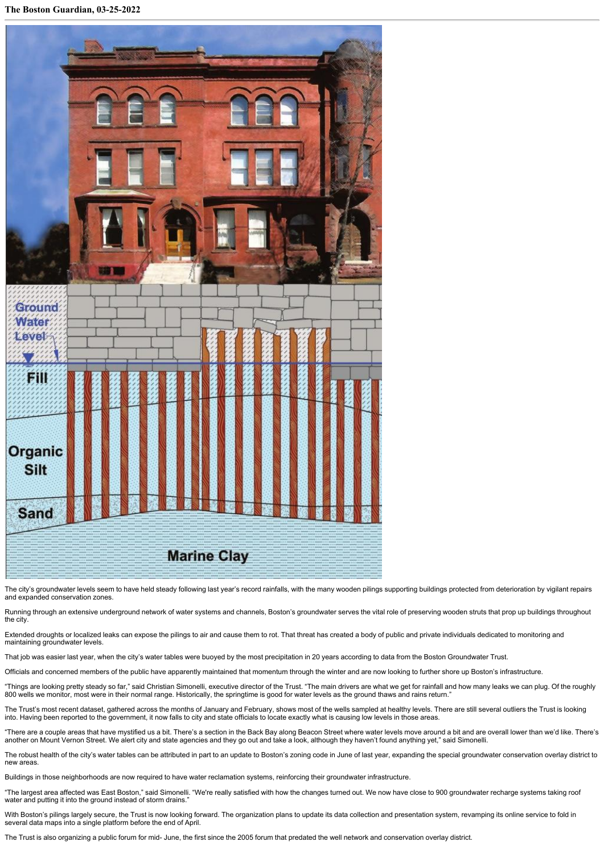

The city's groundwater levels seem to have held steady following last year's record rainfalls, with the many wooden pilings supporting buildings protected from deterioration by vigilant repairs and expanded conservation zones.

Running through an extensive underground network of water systems and channels, Boston's groundwater serves the vital role of preserving wooden struts that prop up buildings throughout the city.

Extended droughts or localized leaks can expose the pilings to air and cause them to rot. That threat has created a body of public and private individuals dedicated to monitoring and maintaining groundwater levels.

That job was easier last year, when the city's water tables were buoyed by the most precipitation in 20 years according to data from the Boston Groundwater Trust.

Officials and concerned members of the public have apparently maintained that momentum through the winter and are now looking to further shore up Boston's infrastructure.

"Things are looking pretty steady so far," said Christian Simonelli, executive director of the Trust. "The main drivers are what we get for rainfall and how many leaks we can plug. Of the roughly 800 wells we monitor, most were in their normal range. Historically, the springtime is good for water levels as the ground thaws and rains return."

The Trust's most recent dataset, gathered across the months of January and February, shows most of the wells sampled at healthy levels. There are still several outliers the Trust is looking into. Having been reported to the government, it now falls to city and state officials to locate exactly what is causing low levels in those areas.

"There are a couple areas that have mystified us a bit. There's a section in the Back Bay along Beacon Street where water levels move around a bit and are overall lower than we'd like. There's another on Mount Vernon Street. We alert city and state agencies and they go out and take a look, although they haven't found anything yet," said Simonelli.

The robust health of the city's water tables can be attributed in part to an update to Boston's zoning code in June of last year, expanding the special groundwater conservation overlay district to new areas.

Buildings in those neighborhoods are now required to have water reclamation systems, reinforcing their groundwater infrastructure.

"The largest area affected was East Boston," said Simonelli. "We're really satisfied with how the changes turned out. We now have close to 900 groundwater recharge systems taking roof water and putting it into the ground instead of storm drains.

With Boston's pilings largely secure, the Trust is now looking forward. The organization plans to update its data collection and presentation system, revamping its online service to fold in<br>several data maps into a single

The Trust is also organizing a public forum for mid- June, the first since the 2005 forum that predated the well network and conservation overlay district.